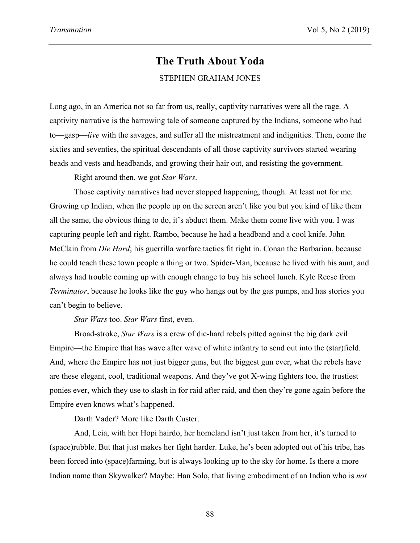## **The Truth About Yoda** STEPHEN GRAHAM JONES

Long ago, in an America not so far from us, really, captivity narratives were all the rage. A captivity narrative is the harrowing tale of someone captured by the Indians, someone who had to—gasp—*live* with the savages, and suffer all the mistreatment and indignities. Then, come the sixties and seventies, the spiritual descendants of all those captivity survivors started wearing beads and vests and headbands, and growing their hair out, and resisting the government.

Right around then, we got *Star Wars*.

Those captivity narratives had never stopped happening, though. At least not for me. Growing up Indian, when the people up on the screen aren't like you but you kind of like them all the same, the obvious thing to do, it's abduct them. Make them come live with you. I was capturing people left and right. Rambo, because he had a headband and a cool knife. John McClain from *Die Hard*; his guerrilla warfare tactics fit right in. Conan the Barbarian, because he could teach these town people a thing or two. Spider-Man, because he lived with his aunt, and always had trouble coming up with enough change to buy his school lunch. Kyle Reese from *Terminator*, because he looks like the guy who hangs out by the gas pumps, and has stories you can't begin to believe.

*Star Wars* too. *Star Wars* first, even.

Broad-stroke, *Star Wars* is a crew of die-hard rebels pitted against the big dark evil Empire—the Empire that has wave after wave of white infantry to send out into the (star)field. And, where the Empire has not just bigger guns, but the biggest gun ever, what the rebels have are these elegant, cool, traditional weapons. And they've got X-wing fighters too, the trustiest ponies ever, which they use to slash in for raid after raid, and then they're gone again before the Empire even knows what's happened.

Darth Vader? More like Darth Custer.

And, Leia, with her Hopi hairdo, her homeland isn't just taken from her, it's turned to (space)rubble. But that just makes her fight harder. Luke, he's been adopted out of his tribe, has been forced into (space)farming, but is always looking up to the sky for home. Is there a more Indian name than Skywalker? Maybe: Han Solo, that living embodiment of an Indian who is *not*

88